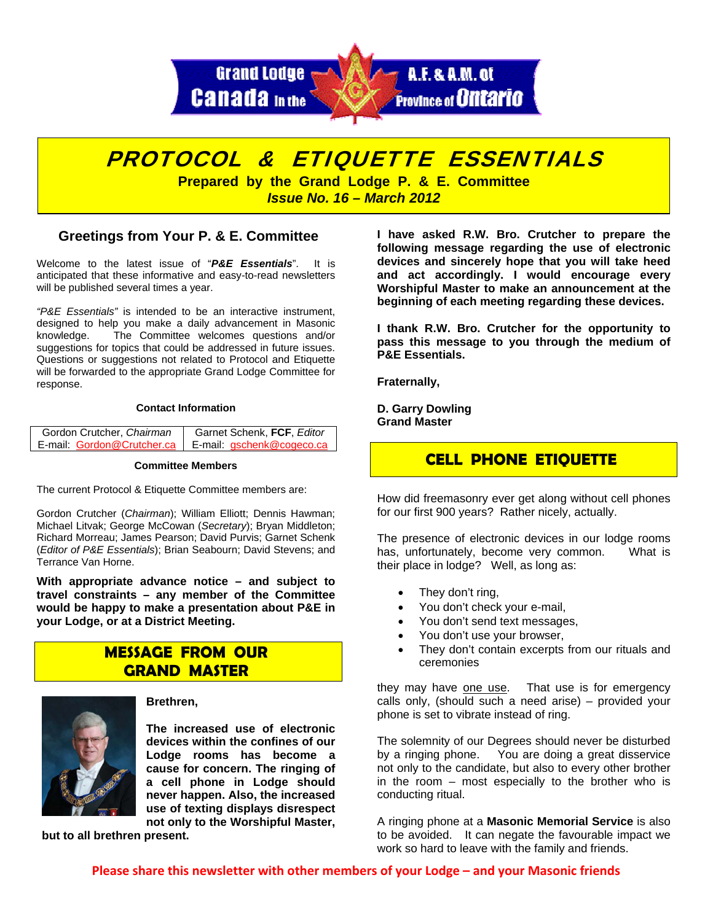



*Issue No. 16 – March 2012* 

## **Greetings from Your P. & E. Committee**

Welcome to the latest issue of "*P&E Essentials*". It is anticipated that these informative and easy-to-read newsletters will be published several times a year.

*"P&E Essentials"* is intended to be an interactive instrument, designed to help you make a daily advancement in Masonic knowledge. The Committee welcomes questions and/or suggestions for topics that could be addressed in future issues. Questions or suggestions not related to Protocol and Etiquette will be forwarded to the appropriate Grand Lodge Committee for response.

#### **Contact Information**

| Gordon Crutcher, Chairman  | Garnet Schenk, FCF, Editor |
|----------------------------|----------------------------|
| E-mail: Gordon@Crutcher.ca | E-mail: gschenk@cogeco.ca  |

#### **Committee Members**

The current Protocol & Etiquette Committee members are:

Gordon Crutcher (*Chairman*); William Elliott; Dennis Hawman; Michael Litvak; George McCowan (*Secretary*); Bryan Middleton; Richard Morreau; James Pearson; David Purvis; Garnet Schenk (*Editor of P&E Essentials*); Brian Seabourn; David Stevens; and Terrance Van Horne.

**With appropriate advance notice – and subject to travel constraints – any member of the Committee would be happy to make a presentation about P&E in your Lodge, or at a District Meeting.** 

# **MESSAGE FROM OUR GRAND MASTER**



### **Brethren,**

**The increased use of electronic devices within the confines of our Lodge rooms has become a cause for concern. The ringing of a cell phone in Lodge should never happen. Also, the increased use of texting displays disrespect not only to the Worshipful Master,** 

**but to all brethren present.** 

**I have asked R.W. Bro. Crutcher to prepare the following message regarding the use of electronic devices and sincerely hope that you will take heed and act accordingly. I would encourage every Worshipful Master to make an announcement at the beginning of each meeting regarding these devices.** 

**I thank R.W. Bro. Crutcher for the opportunity to pass this message to you through the medium of P&E Essentials.** 

**Fraternally,** 

**D. Garry Dowling Grand Master** 

# **CELL PHONE ETIQUETTE**

How did freemasonry ever get along without cell phones for our first 900 years? Rather nicely, actually.

The presence of electronic devices in our lodge rooms has, unfortunately, become very common. What is their place in lodge? Well, as long as:

- They don't ring,
- You don't check your e-mail,
- You don't send text messages,
- You don't use your browser,
- They don't contain excerpts from our rituals and ceremonies

they may have one use. That use is for emergency calls only, (should such a need arise) – provided your phone is set to vibrate instead of ring.

The solemnity of our Degrees should never be disturbed by a ringing phone. You are doing a great disservice not only to the candidate, but also to every other brother in the room – most especially to the brother who is conducting ritual.

A ringing phone at a **Masonic Memorial Service** is also to be avoided. It can negate the favourable impact we work so hard to leave with the family and friends.

**Please share this newsletter with other members of your Lodge – and your Masonic friends**